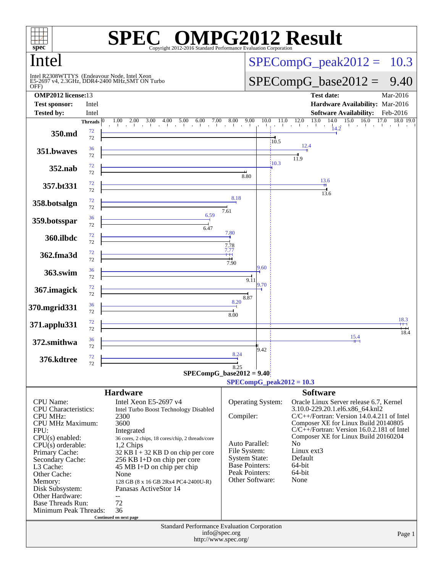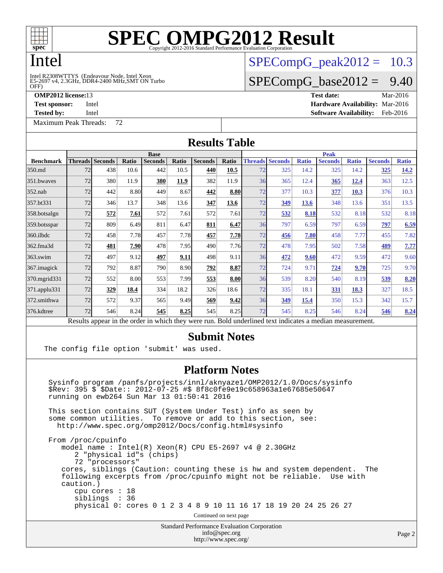

### Intel

#### OFF) Intel R2308WTTYS (Endeavour Node, Intel Xeon<br>E5-2697 v4, 2.3GHz, DDR4-2400 MHz,SMT ON Turbo

**[Tested by:](http://www.spec.org/auto/omp2012/Docs/result-fields.html#Testedby)** Intel **[Software Availability:](http://www.spec.org/auto/omp2012/Docs/result-fields.html#SoftwareAvailability)** Feb-2016

[Maximum Peak Threads:](http://www.spec.org/auto/omp2012/Docs/result-fields.html#MaximumPeakThreads) 72

 $SPECompG<sub>p</sub>eak2012 = 10.3$ 

### $SPECompG_base2012 = 9.40$  $SPECompG_base2012 = 9.40$

**[OMP2012 license:](http://www.spec.org/auto/omp2012/Docs/result-fields.html#OMP2012license)**13 **[Test date:](http://www.spec.org/auto/omp2012/Docs/result-fields.html#Testdate)** Mar-2016 **[Test sponsor:](http://www.spec.org/auto/omp2012/Docs/result-fields.html#Testsponsor)** Intel **[Hardware Availability:](http://www.spec.org/auto/omp2012/Docs/result-fields.html#HardwareAvailability)** Mar-2016

| <b>Results Table</b> |                                                                                                          |                        |       |                |             |                |             |    |                        |              |                |              |                |              |  |
|----------------------|----------------------------------------------------------------------------------------------------------|------------------------|-------|----------------|-------------|----------------|-------------|----|------------------------|--------------|----------------|--------------|----------------|--------------|--|
|                      | <b>Base</b>                                                                                              |                        |       |                |             |                |             |    | <b>Peak</b>            |              |                |              |                |              |  |
| <b>Benchmark</b>     |                                                                                                          | <b>Threads</b> Seconds | Ratio | <b>Seconds</b> | Ratio       | <b>Seconds</b> | Ratio       |    | <b>Threads Seconds</b> | <b>Ratio</b> | <b>Seconds</b> | <b>Ratio</b> | <b>Seconds</b> | <b>Ratio</b> |  |
| 350.md               | 72                                                                                                       | 438                    | 10.6  | 442            | 10.5        | 440            | 10.5        | 72 | 325                    | 14.2         | 325            | 14.2         | 325            | <u>14.2</u>  |  |
| 351.bwayes           | 72                                                                                                       | 380                    | 11.9  | 380            | <u>11.9</u> | 382            | 11.9        | 36 | 365                    | 12.4         | 365            | 12.4         | 363            | 12.5         |  |
| $352$ .nab           | 72                                                                                                       | 442                    | 8.80  | 449            | 8.67        | 442            | 8.80        | 72 | 377                    | 10.3         | 377            | <b>10.3</b>  | 376            | 10.3         |  |
| 357.bt331            | 72                                                                                                       | 346                    | 13.7  | 348            | 13.6        | 347            | 13.6        | 72 | 349                    | 13.6         | 348            | 13.6         | 351            | 13.5         |  |
| 358.botsalgn         | 72                                                                                                       | 572                    | 7.61  | 572            | 7.61        | 572            | 7.61        | 72 | 532                    | 8.18         | 532            | 8.18         | 532            | 8.18         |  |
| 359.botsspar         | 72                                                                                                       | 809                    | 6.49  | 811            | 6.47        | 811            | 6.47        | 36 | 797                    | 6.59         | 797            | 6.59         | 797            | 6.59         |  |
| 360.ilbdc            | 72                                                                                                       | 458                    | 7.78  | 457            | 7.78        | 457            | <u>7.78</u> | 72 | 456                    | 7.80         | 458            | 7.77         | 455            | 7.82         |  |
| 362.fma3d            | 72                                                                                                       | 481                    | 7.90  | 478            | 7.95        | 490            | 7.76        | 72 | 478                    | 7.95         | 502            | 7.58         | 489            | 7.77         |  |
| $363$ .swim          | 72                                                                                                       | 497                    | 9.12  | 497            | 9.11        | 498            | 9.11        | 36 | 472                    | 9.60         | 472            | 9.59         | 472            | 9.60         |  |
| 367. imagick         | 72                                                                                                       | 792                    | 8.87  | 790            | 8.90        | 792            | 8.87        | 72 | 724                    | 9.71         | 724            | 9.70         | 725            | 9.70         |  |
| 370.mgrid331         | 72                                                                                                       | 552                    | 8.00  | 553            | 7.99        | 553            | 8.00        | 36 | 539                    | 8.20         | 540            | 8.19         | 539            | 8.20         |  |
| 371.applu331         | 72                                                                                                       | 329                    | 18.4  | 334            | 18.2        | 326            | 18.6        | 72 | 335                    | 18.1         | 331            | 18.3         | 327            | 18.5         |  |
| 372.smithwa          | 72                                                                                                       | 572                    | 9.37  | 565            | 9.49        | 569            | 9.42        | 36 | 349                    | 15.4         | 350            | 15.3         | 342            | 15.7         |  |
| 376.kdtree           | 72                                                                                                       | 546                    | 8.24  | 545            | 8.25        | 545            | 8.25        | 72 | 545                    | 8.25         | 546            | 8.24         | 546            | 8.24         |  |
|                      | Results appear in the order in which they were run. Bold underlined text indicates a median measurement. |                        |       |                |             |                |             |    |                        |              |                |              |                |              |  |

#### **[Submit Notes](http://www.spec.org/auto/omp2012/Docs/result-fields.html#SubmitNotes)**

The config file option 'submit' was used.

#### **[Platform Notes](http://www.spec.org/auto/omp2012/Docs/result-fields.html#PlatformNotes)**

 Sysinfo program /panfs/projects/innl/aknyaze1/OMP2012/1.0/Docs/sysinfo \$Rev: 395 \$ \$Date:: 2012-07-25 #\$ 8f8c0fe9e19c658963a1e67685e50647 running on ewb264 Sun Mar 13 01:50:41 2016

 This section contains SUT (System Under Test) info as seen by some common utilities. To remove or add to this section, see: <http://www.spec.org/omp2012/Docs/config.html#sysinfo>

 From /proc/cpuinfo model name : Intel(R) Xeon(R) CPU E5-2697 v4 @ 2.30GHz 2 "physical id"s (chips) 72 "processors" cores, siblings (Caution: counting these is hw and system dependent. The following excerpts from /proc/cpuinfo might not be reliable. Use with caution.) cpu cores : 18 siblings : 36 physical 0: cores 0 1 2 3 4 8 9 10 11 16 17 18 19 20 24 25 26 27 Continued on next page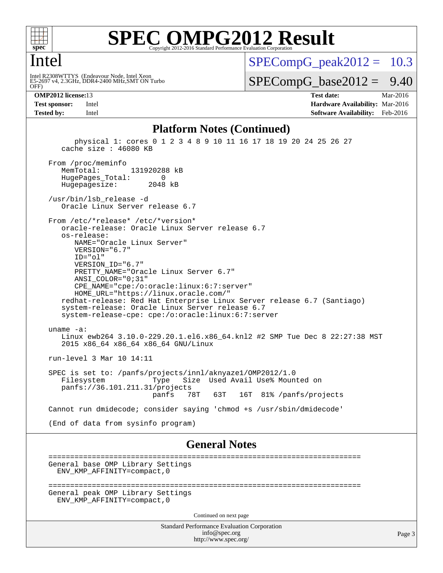

#### Intel

OFF) Intel R2308WTTYS (Endeavour Node, Intel Xeon<br>E5-2697 v4, 2.3GHz, DDR4-2400 MHz,SMT ON Turbo  $SPECompG<sub>p</sub>eak2012 = 10.3$ 

 $SPECompG_base2012 = 9.40$  $SPECompG_base2012 = 9.40$ 

**[OMP2012 license:](http://www.spec.org/auto/omp2012/Docs/result-fields.html#OMP2012license)**13 **[Test date:](http://www.spec.org/auto/omp2012/Docs/result-fields.html#Testdate)** Mar-2016 **[Test sponsor:](http://www.spec.org/auto/omp2012/Docs/result-fields.html#Testsponsor)** Intel **[Hardware Availability:](http://www.spec.org/auto/omp2012/Docs/result-fields.html#HardwareAvailability)** Mar-2016 **[Tested by:](http://www.spec.org/auto/omp2012/Docs/result-fields.html#Testedby)** Intel **[Software Availability:](http://www.spec.org/auto/omp2012/Docs/result-fields.html#SoftwareAvailability)** Feb-2016

#### **[Platform Notes \(Continued\)](http://www.spec.org/auto/omp2012/Docs/result-fields.html#PlatformNotes)**

 physical 1: cores 0 1 2 3 4 8 9 10 11 16 17 18 19 20 24 25 26 27 cache size : 46080 KB From /proc/meminfo<br>MemTotal: 131920288 kB HugePages\_Total: 0 Hugepagesize: 2048 kB /usr/bin/lsb\_release -d Oracle Linux Server release 6.7 From /etc/\*release\* /etc/\*version\* oracle-release: Oracle Linux Server release 6.7 os-release: NAME="Oracle Linux Server" VERSION="6.7" ID="ol" VERSION\_ID="6.7" PRETTY\_NAME="Oracle Linux Server 6.7" ANSI\_COLOR="0;31" CPE\_NAME="cpe:/o:oracle:linux:6:7:server" HOME\_URL="<https://linux.oracle.com/"> redhat-release: Red Hat Enterprise Linux Server release 6.7 (Santiago) system-release: Oracle Linux Server release 6.7 system-release-cpe: cpe:/o:oracle:linux:6:7:server uname -a: Linux ewb264 3.10.0-229.20.1.el6.x86\_64.knl2 #2 SMP Tue Dec 8 22:27:38 MST 2015 x86\_64 x86\_64 x86\_64 GNU/Linux run-level 3 Mar 10 14:11 SPEC is set to: /panfs/projects/innl/aknyaze1/OMP2012/1.0 Type Size Used Avail Use% Mounted on panfs://36.101.211.31/projects panfs 78T 63T 16T 81% /panfs/projects Cannot run dmidecode; consider saying 'chmod +s /usr/sbin/dmidecode' (End of data from sysinfo program) **[General Notes](http://www.spec.org/auto/omp2012/Docs/result-fields.html#GeneralNotes)** ======================================================================== General base OMP Library Settings ENV\_KMP\_AFFINITY=compact,0 ======================================================================== General peak OMP Library Settings ENV\_KMP\_AFFINITY=compact,0

Continued on next page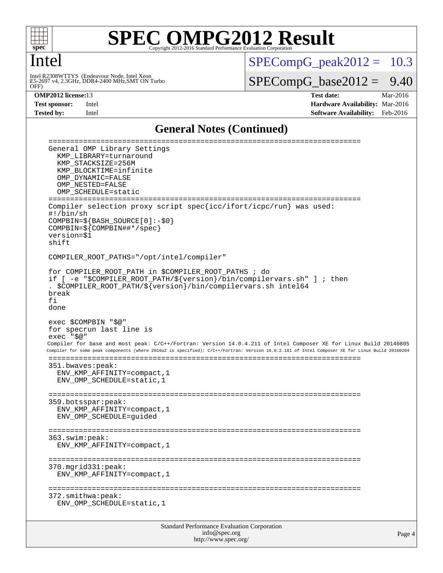

#### Intel

Intel R2308WTTYS (Endeavour Node, Intel Xeon<br>E5-2697 v4, 2.3GHz, DDR4-2400 MHz,SMT ON Turbo<br>OFF)

 $SPECompG_peak2012 = 10.3$  $SPECompG_peak2012 = 10.3$ 

 $SPECompG_base2012 = 9.40$  $SPECompG_base2012 = 9.40$ 

**[OMP2012 license:](http://www.spec.org/auto/omp2012/Docs/result-fields.html#OMP2012license)**13 **[Test date:](http://www.spec.org/auto/omp2012/Docs/result-fields.html#Testdate)** Mar-2016 **[Test sponsor:](http://www.spec.org/auto/omp2012/Docs/result-fields.html#Testsponsor)** Intel **[Hardware Availability:](http://www.spec.org/auto/omp2012/Docs/result-fields.html#HardwareAvailability)** Mar-2016 **[Tested by:](http://www.spec.org/auto/omp2012/Docs/result-fields.html#Testedby)** Intel **[Software Availability:](http://www.spec.org/auto/omp2012/Docs/result-fields.html#SoftwareAvailability)** Feb-2016

#### **[General Notes \(Continued\)](http://www.spec.org/auto/omp2012/Docs/result-fields.html#GeneralNotes)**

| ====================================<br>===============================<br>General OMP Library Settings<br>KMP_LIBRARY=turnaround<br>KMP STACKSIZE=256M<br>KMP BLOCKTIME=infinite<br>OMP DYNAMIC=FALSE<br>OMP NESTED=FALSE<br>OMP SCHEDULE=static<br>====================<br>=======                                                                                                                                  |
|-----------------------------------------------------------------------------------------------------------------------------------------------------------------------------------------------------------------------------------------------------------------------------------------------------------------------------------------------------------------------------------------------------------------------|
| Compiler selection proxy script spec{icc/ifort/icpc/run} was used:<br>#!/bin/sh<br>$COMPBIN = \frac{2}{5} \{BASH_SOWRCE[0]: -\frac{2}{5}0\}$<br>$COMPBIN=\$ { $COMPBIN\#$ $\neq$ / $spec$ }<br>version=\$1<br>shift                                                                                                                                                                                                   |
| COMPILER_ROOT_PATHS="/opt/intel/compiler"                                                                                                                                                                                                                                                                                                                                                                             |
| for COMPILER ROOT PATH in \$COMPILER ROOT PATHS ; do<br>if [ -e "\$COMPILER_ROOT_PATH/\${version}/bin/compilervars.sh" ] ; then<br>. \$COMPILER_ROOT_PATH/\${version}/bin/compilervars.sh intel64<br>break<br>fi<br>done                                                                                                                                                                                              |
| exec \$COMPBIN "\$@"<br>for specrun last line is<br>exec "\$@"<br>Compiler for base and most peak: C/C++/Fortran: Version 14.0.4.211 of Intel Composer XE for Linux Build 20140805<br>Compiler for some peak components (where 2016u2 is specified): C/C++/Fortran: Version 16.0.2.181 of Intel Composer XE for Linux Build 20160204<br>351.bwaves:peak:<br>ENV KMP AFFINITY=compact, 1<br>ENV OMP SCHEDULE=static, 1 |
| 359.botsspar:peak:<br>ENV KMP AFFINITY=compact, 1<br>ENV OMP SCHEDULE=quided                                                                                                                                                                                                                                                                                                                                          |
| 363.swim:peak:<br>ENV KMP AFFINITY=compact, 1                                                                                                                                                                                                                                                                                                                                                                         |
| 370.mgrid331:peak:<br>ENV_KMP_AFFINITY=compact, 1                                                                                                                                                                                                                                                                                                                                                                     |
| 372.smithwa:peak:<br>ENV_OMP_SCHEDULE=static, 1                                                                                                                                                                                                                                                                                                                                                                       |
| Standard Performance Evaluation Corporation                                                                                                                                                                                                                                                                                                                                                                           |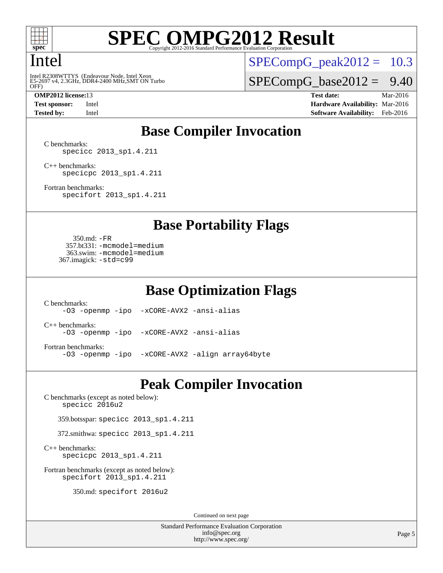

#### Intel

OFF) Intel R2308WTTYS (Endeavour Node, Intel Xeon<br>E5-2697 v4, 2.3GHz, DDR4-2400 MHz,SMT ON Turbo

 $SPECompG_peak2012 = 10.3$  $SPECompG_peak2012 = 10.3$ 

 $SPECompG_base2012 = 9.40$  $SPECompG_base2012 = 9.40$ 

**[OMP2012 license:](http://www.spec.org/auto/omp2012/Docs/result-fields.html#OMP2012license)**13 **[Test date:](http://www.spec.org/auto/omp2012/Docs/result-fields.html#Testdate)** Mar-2016 **[Test sponsor:](http://www.spec.org/auto/omp2012/Docs/result-fields.html#Testsponsor)** Intel **[Hardware Availability:](http://www.spec.org/auto/omp2012/Docs/result-fields.html#HardwareAvailability)** Mar-2016 **[Tested by:](http://www.spec.org/auto/omp2012/Docs/result-fields.html#Testedby)** Intel **[Software Availability:](http://www.spec.org/auto/omp2012/Docs/result-fields.html#SoftwareAvailability)** Feb-2016

### **[Base Compiler Invocation](http://www.spec.org/auto/omp2012/Docs/result-fields.html#BaseCompilerInvocation)**

[C benchmarks](http://www.spec.org/auto/omp2012/Docs/result-fields.html#Cbenchmarks): [specicc 2013\\_sp1.4.211](http://www.spec.org/omp2012/results/res2016q1/omp2012-20160316-00069.flags.html#user_CCbase_spec_intel_icc_d9c10bd2d118b07b7b97b2b723d66f9f)

[C++ benchmarks:](http://www.spec.org/auto/omp2012/Docs/result-fields.html#CXXbenchmarks) [specicpc 2013\\_sp1.4.211](http://www.spec.org/omp2012/results/res2016q1/omp2012-20160316-00069.flags.html#user_CXXbase_spec_intel_icpc_88c032a0e5d2dc8ec4fb942f2db7966d)

[Fortran benchmarks](http://www.spec.org/auto/omp2012/Docs/result-fields.html#Fortranbenchmarks): [specifort 2013\\_sp1.4.211](http://www.spec.org/omp2012/results/res2016q1/omp2012-20160316-00069.flags.html#user_FCbase_spec_intel_ifort_fc2315502c764666d111917aceb48fea)

**[Base Portability Flags](http://www.spec.org/auto/omp2012/Docs/result-fields.html#BasePortabilityFlags)**

 350.md: [-FR](http://www.spec.org/omp2012/results/res2016q1/omp2012-20160316-00069.flags.html#user_baseFPORTABILITY350_md_f-FR) 357.bt331: [-mcmodel=medium](http://www.spec.org/omp2012/results/res2016q1/omp2012-20160316-00069.flags.html#user_basePORTABILITY357_bt331_f-mcmodel_3a41622424bdd074c4f0f2d2f224c7e5) 363.swim: [-mcmodel=medium](http://www.spec.org/omp2012/results/res2016q1/omp2012-20160316-00069.flags.html#user_basePORTABILITY363_swim_f-mcmodel_3a41622424bdd074c4f0f2d2f224c7e5) 367.imagick: [-std=c99](http://www.spec.org/omp2012/results/res2016q1/omp2012-20160316-00069.flags.html#user_baseCPORTABILITY367_imagick_f-std_2ec6533b6e06f1c4a6c9b78d9e9cde24)

**[Base Optimization Flags](http://www.spec.org/auto/omp2012/Docs/result-fields.html#BaseOptimizationFlags)**

[C benchmarks](http://www.spec.org/auto/omp2012/Docs/result-fields.html#Cbenchmarks): [-O3](http://www.spec.org/omp2012/results/res2016q1/omp2012-20160316-00069.flags.html#user_CCbase_f-O3) [-openmp](http://www.spec.org/omp2012/results/res2016q1/omp2012-20160316-00069.flags.html#user_CCbase_f-openmp) [-ipo](http://www.spec.org/omp2012/results/res2016q1/omp2012-20160316-00069.flags.html#user_CCbase_f-ipo_84062ab53814f613187d02344b8f49a7) [-xCORE-AVX2](http://www.spec.org/omp2012/results/res2016q1/omp2012-20160316-00069.flags.html#user_CCbase_f-xCORE-AVX2) [-ansi-alias](http://www.spec.org/omp2012/results/res2016q1/omp2012-20160316-00069.flags.html#user_CCbase_f-ansi-alias) [C++ benchmarks:](http://www.spec.org/auto/omp2012/Docs/result-fields.html#CXXbenchmarks) [-O3](http://www.spec.org/omp2012/results/res2016q1/omp2012-20160316-00069.flags.html#user_CXXbase_f-O3) [-openmp](http://www.spec.org/omp2012/results/res2016q1/omp2012-20160316-00069.flags.html#user_CXXbase_f-openmp) [-ipo](http://www.spec.org/omp2012/results/res2016q1/omp2012-20160316-00069.flags.html#user_CXXbase_f-ipo_84062ab53814f613187d02344b8f49a7) [-xCORE-AVX2](http://www.spec.org/omp2012/results/res2016q1/omp2012-20160316-00069.flags.html#user_CXXbase_f-xCORE-AVX2) [-ansi-alias](http://www.spec.org/omp2012/results/res2016q1/omp2012-20160316-00069.flags.html#user_CXXbase_f-ansi-alias) [Fortran benchmarks](http://www.spec.org/auto/omp2012/Docs/result-fields.html#Fortranbenchmarks): [-O3](http://www.spec.org/omp2012/results/res2016q1/omp2012-20160316-00069.flags.html#user_FCbase_f-O3) [-openmp](http://www.spec.org/omp2012/results/res2016q1/omp2012-20160316-00069.flags.html#user_FCbase_f-openmp) [-ipo](http://www.spec.org/omp2012/results/res2016q1/omp2012-20160316-00069.flags.html#user_FCbase_f-ipo_84062ab53814f613187d02344b8f49a7) [-xCORE-AVX2](http://www.spec.org/omp2012/results/res2016q1/omp2012-20160316-00069.flags.html#user_FCbase_f-xCORE-AVX2) [-align array64byte](http://www.spec.org/omp2012/results/res2016q1/omp2012-20160316-00069.flags.html#user_FCbase_f-align_c9377f996e966d652baaf753401d4725)

#### **[Peak Compiler Invocation](http://www.spec.org/auto/omp2012/Docs/result-fields.html#PeakCompilerInvocation)**

[C benchmarks \(except as noted below\)](http://www.spec.org/auto/omp2012/Docs/result-fields.html#Cbenchmarksexceptasnotedbelow): [specicc 2016u2](http://www.spec.org/omp2012/results/res2016q1/omp2012-20160316-00069.flags.html#user_CCpeak_spec_intel_icc_5c7029f0eb8827b339e12b7e44a2a07d)

359.botsspar: [specicc 2013\\_sp1.4.211](http://www.spec.org/omp2012/results/res2016q1/omp2012-20160316-00069.flags.html#user_peakCCLD359_botsspar_spec_intel_icc_d9c10bd2d118b07b7b97b2b723d66f9f)

372.smithwa: [specicc 2013\\_sp1.4.211](http://www.spec.org/omp2012/results/res2016q1/omp2012-20160316-00069.flags.html#user_peakCCLD372_smithwa_spec_intel_icc_d9c10bd2d118b07b7b97b2b723d66f9f)

[C++ benchmarks:](http://www.spec.org/auto/omp2012/Docs/result-fields.html#CXXbenchmarks) [specicpc 2013\\_sp1.4.211](http://www.spec.org/omp2012/results/res2016q1/omp2012-20160316-00069.flags.html#user_CXXpeak_spec_intel_icpc_88c032a0e5d2dc8ec4fb942f2db7966d)

[Fortran benchmarks \(except as noted below\)](http://www.spec.org/auto/omp2012/Docs/result-fields.html#Fortranbenchmarksexceptasnotedbelow): [specifort 2013\\_sp1.4.211](http://www.spec.org/omp2012/results/res2016q1/omp2012-20160316-00069.flags.html#user_FCpeak_spec_intel_ifort_fc2315502c764666d111917aceb48fea)

350.md: [specifort 2016u2](http://www.spec.org/omp2012/results/res2016q1/omp2012-20160316-00069.flags.html#user_peakFCLD350_md_spec_intel_ifort_edf6397889f3446c49d2d06c82a770ae)

Continued on next page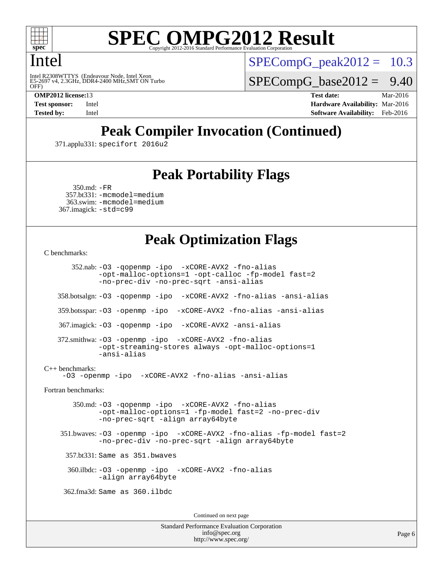

#### Intel

OFF) Intel R2308WTTYS (Endeavour Node, Intel Xeon<br>E5-2697 v4, 2.3GHz, DDR4-2400 MHz,SMT ON Turbo  $SPECompG<sub>p</sub>eak2012 = 10.3$ 

 $SPECompG_base2012 = 9.40$  $SPECompG_base2012 = 9.40$ 

**[OMP2012 license:](http://www.spec.org/auto/omp2012/Docs/result-fields.html#OMP2012license)**13 **[Test date:](http://www.spec.org/auto/omp2012/Docs/result-fields.html#Testdate)** Mar-2016 **[Test sponsor:](http://www.spec.org/auto/omp2012/Docs/result-fields.html#Testsponsor)** Intel **[Hardware Availability:](http://www.spec.org/auto/omp2012/Docs/result-fields.html#HardwareAvailability)** Mar-2016 **[Tested by:](http://www.spec.org/auto/omp2012/Docs/result-fields.html#Testedby)** Intel **[Software Availability:](http://www.spec.org/auto/omp2012/Docs/result-fields.html#SoftwareAvailability)** Feb-2016

## **[Peak Compiler Invocation \(Continued\)](http://www.spec.org/auto/omp2012/Docs/result-fields.html#PeakCompilerInvocation)**

371.applu331: [specifort 2016u2](http://www.spec.org/omp2012/results/res2016q1/omp2012-20160316-00069.flags.html#user_peakFCLD371_applu331_spec_intel_ifort_edf6397889f3446c49d2d06c82a770ae)

### **[Peak Portability Flags](http://www.spec.org/auto/omp2012/Docs/result-fields.html#PeakPortabilityFlags)**

```
 350.md: -FR
 357.bt331: -mcmodel=medium
  363.swim: -mcmodel=medium
367.imagick: -std=c99
```
### **[Peak Optimization Flags](http://www.spec.org/auto/omp2012/Docs/result-fields.html#PeakOptimizationFlags)**

```
C benchmarks:
```
 352.nab: [-O3](http://www.spec.org/omp2012/results/res2016q1/omp2012-20160316-00069.flags.html#user_peakOPTIMIZE352_nab_f-O3) [-qopenmp](http://www.spec.org/omp2012/results/res2016q1/omp2012-20160316-00069.flags.html#user_peakOPTIMIZE352_nab_f-qopenmp) [-ipo](http://www.spec.org/omp2012/results/res2016q1/omp2012-20160316-00069.flags.html#user_peakOPTIMIZE352_nab_f-ipo_84062ab53814f613187d02344b8f49a7) [-xCORE-AVX2](http://www.spec.org/omp2012/results/res2016q1/omp2012-20160316-00069.flags.html#user_peakOPTIMIZE352_nab_f-xCORE-AVX2) [-fno-alias](http://www.spec.org/omp2012/results/res2016q1/omp2012-20160316-00069.flags.html#user_peakOPTIMIZE352_nab_f-no-alias_694e77f6c5a51e658e82ccff53a9e63a) [-opt-malloc-options=1](http://www.spec.org/omp2012/results/res2016q1/omp2012-20160316-00069.flags.html#user_peakOPTIMIZE352_nab_f-opt-malloc-options_d882ffc6ff87e51efe45f9a5190004b0) [-opt-calloc](http://www.spec.org/omp2012/results/res2016q1/omp2012-20160316-00069.flags.html#user_peakOPTIMIZE352_nab_f-opt-calloc) [-fp-model fast=2](http://www.spec.org/omp2012/results/res2016q1/omp2012-20160316-00069.flags.html#user_peakOPTIMIZE352_nab_f-fp-model_a7fb8ccb7275e23f0079632c153cfcab) [-no-prec-div](http://www.spec.org/omp2012/results/res2016q1/omp2012-20160316-00069.flags.html#user_peakOPTIMIZE352_nab_f-no-prec-div) [-no-prec-sqrt](http://www.spec.org/omp2012/results/res2016q1/omp2012-20160316-00069.flags.html#user_peakOPTIMIZE352_nab_f-no-prec-sqrt) [-ansi-alias](http://www.spec.org/omp2012/results/res2016q1/omp2012-20160316-00069.flags.html#user_peakCOPTIMIZE352_nab_f-ansi-alias) 358.botsalgn: [-O3](http://www.spec.org/omp2012/results/res2016q1/omp2012-20160316-00069.flags.html#user_peakOPTIMIZE358_botsalgn_f-O3) [-qopenmp](http://www.spec.org/omp2012/results/res2016q1/omp2012-20160316-00069.flags.html#user_peakOPTIMIZE358_botsalgn_f-qopenmp) [-ipo](http://www.spec.org/omp2012/results/res2016q1/omp2012-20160316-00069.flags.html#user_peakOPTIMIZE358_botsalgn_f-ipo_84062ab53814f613187d02344b8f49a7) [-xCORE-AVX2](http://www.spec.org/omp2012/results/res2016q1/omp2012-20160316-00069.flags.html#user_peakOPTIMIZE358_botsalgn_f-xCORE-AVX2) [-fno-alias](http://www.spec.org/omp2012/results/res2016q1/omp2012-20160316-00069.flags.html#user_peakOPTIMIZE358_botsalgn_f-no-alias_694e77f6c5a51e658e82ccff53a9e63a) [-ansi-alias](http://www.spec.org/omp2012/results/res2016q1/omp2012-20160316-00069.flags.html#user_peakCOPTIMIZE358_botsalgn_f-ansi-alias) 359.botsspar: [-O3](http://www.spec.org/omp2012/results/res2016q1/omp2012-20160316-00069.flags.html#user_peakOPTIMIZE359_botsspar_f-O3) [-openmp](http://www.spec.org/omp2012/results/res2016q1/omp2012-20160316-00069.flags.html#user_peakOPTIMIZE359_botsspar_f-openmp) [-ipo](http://www.spec.org/omp2012/results/res2016q1/omp2012-20160316-00069.flags.html#user_peakOPTIMIZE359_botsspar_f-ipo_84062ab53814f613187d02344b8f49a7) [-xCORE-AVX2](http://www.spec.org/omp2012/results/res2016q1/omp2012-20160316-00069.flags.html#user_peakOPTIMIZE359_botsspar_f-xCORE-AVX2) [-fno-alias](http://www.spec.org/omp2012/results/res2016q1/omp2012-20160316-00069.flags.html#user_peakOPTIMIZE359_botsspar_f-no-alias_694e77f6c5a51e658e82ccff53a9e63a) [-ansi-alias](http://www.spec.org/omp2012/results/res2016q1/omp2012-20160316-00069.flags.html#user_peakCOPTIMIZE359_botsspar_f-ansi-alias) 367.imagick: [-O3](http://www.spec.org/omp2012/results/res2016q1/omp2012-20160316-00069.flags.html#user_peakOPTIMIZE367_imagick_f-O3) [-qopenmp](http://www.spec.org/omp2012/results/res2016q1/omp2012-20160316-00069.flags.html#user_peakOPTIMIZE367_imagick_f-qopenmp) [-ipo](http://www.spec.org/omp2012/results/res2016q1/omp2012-20160316-00069.flags.html#user_peakOPTIMIZE367_imagick_f-ipo_84062ab53814f613187d02344b8f49a7) [-xCORE-AVX2](http://www.spec.org/omp2012/results/res2016q1/omp2012-20160316-00069.flags.html#user_peakOPTIMIZE367_imagick_f-xCORE-AVX2) [-ansi-alias](http://www.spec.org/omp2012/results/res2016q1/omp2012-20160316-00069.flags.html#user_peakCOPTIMIZE367_imagick_f-ansi-alias) 372.smithwa: [-O3](http://www.spec.org/omp2012/results/res2016q1/omp2012-20160316-00069.flags.html#user_peakOPTIMIZE372_smithwa_f-O3) [-openmp](http://www.spec.org/omp2012/results/res2016q1/omp2012-20160316-00069.flags.html#user_peakOPTIMIZE372_smithwa_f-openmp) [-ipo](http://www.spec.org/omp2012/results/res2016q1/omp2012-20160316-00069.flags.html#user_peakOPTIMIZE372_smithwa_f-ipo_84062ab53814f613187d02344b8f49a7) [-xCORE-AVX2](http://www.spec.org/omp2012/results/res2016q1/omp2012-20160316-00069.flags.html#user_peakOPTIMIZE372_smithwa_f-xCORE-AVX2) [-fno-alias](http://www.spec.org/omp2012/results/res2016q1/omp2012-20160316-00069.flags.html#user_peakOPTIMIZE372_smithwa_f-no-alias_694e77f6c5a51e658e82ccff53a9e63a) [-opt-streaming-stores always](http://www.spec.org/omp2012/results/res2016q1/omp2012-20160316-00069.flags.html#user_peakOPTIMIZE372_smithwa_f-opt-streaming-stores-always_66f55dbc532842151ebc4c82f4f5b019) [-opt-malloc-options=1](http://www.spec.org/omp2012/results/res2016q1/omp2012-20160316-00069.flags.html#user_peakOPTIMIZE372_smithwa_f-opt-malloc-options_d882ffc6ff87e51efe45f9a5190004b0) [-ansi-alias](http://www.spec.org/omp2012/results/res2016q1/omp2012-20160316-00069.flags.html#user_peakCOPTIMIZE372_smithwa_f-ansi-alias) [C++ benchmarks:](http://www.spec.org/auto/omp2012/Docs/result-fields.html#CXXbenchmarks) [-O3](http://www.spec.org/omp2012/results/res2016q1/omp2012-20160316-00069.flags.html#user_CXXpeak_f-O3) [-openmp](http://www.spec.org/omp2012/results/res2016q1/omp2012-20160316-00069.flags.html#user_CXXpeak_f-openmp) [-ipo](http://www.spec.org/omp2012/results/res2016q1/omp2012-20160316-00069.flags.html#user_CXXpeak_f-ipo_84062ab53814f613187d02344b8f49a7) [-xCORE-AVX2](http://www.spec.org/omp2012/results/res2016q1/omp2012-20160316-00069.flags.html#user_CXXpeak_f-xCORE-AVX2) [-fno-alias](http://www.spec.org/omp2012/results/res2016q1/omp2012-20160316-00069.flags.html#user_CXXpeak_f-no-alias_694e77f6c5a51e658e82ccff53a9e63a) [-ansi-alias](http://www.spec.org/omp2012/results/res2016q1/omp2012-20160316-00069.flags.html#user_CXXpeak_f-ansi-alias) [Fortran benchmarks](http://www.spec.org/auto/omp2012/Docs/result-fields.html#Fortranbenchmarks): 350.md: [-O3](http://www.spec.org/omp2012/results/res2016q1/omp2012-20160316-00069.flags.html#user_peakOPTIMIZE350_md_f-O3) [-qopenmp](http://www.spec.org/omp2012/results/res2016q1/omp2012-20160316-00069.flags.html#user_peakOPTIMIZE350_md_f-qopenmp) [-ipo](http://www.spec.org/omp2012/results/res2016q1/omp2012-20160316-00069.flags.html#user_peakOPTIMIZE350_md_f-ipo_84062ab53814f613187d02344b8f49a7) [-xCORE-AVX2](http://www.spec.org/omp2012/results/res2016q1/omp2012-20160316-00069.flags.html#user_peakOPTIMIZE350_md_f-xCORE-AVX2) [-fno-alias](http://www.spec.org/omp2012/results/res2016q1/omp2012-20160316-00069.flags.html#user_peakOPTIMIZE350_md_f-no-alias_694e77f6c5a51e658e82ccff53a9e63a) [-opt-malloc-options=1](http://www.spec.org/omp2012/results/res2016q1/omp2012-20160316-00069.flags.html#user_peakOPTIMIZE350_md_f-opt-malloc-options_d882ffc6ff87e51efe45f9a5190004b0) [-fp-model fast=2](http://www.spec.org/omp2012/results/res2016q1/omp2012-20160316-00069.flags.html#user_peakFOPTIMIZE350_md_f-fp-model_a7fb8ccb7275e23f0079632c153cfcab) [-no-prec-div](http://www.spec.org/omp2012/results/res2016q1/omp2012-20160316-00069.flags.html#user_peakFOPTIMIZE350_md_f-no-prec-div) [-no-prec-sqrt](http://www.spec.org/omp2012/results/res2016q1/omp2012-20160316-00069.flags.html#user_peakFOPTIMIZE350_md_f-no-prec-sqrt) [-align array64byte](http://www.spec.org/omp2012/results/res2016q1/omp2012-20160316-00069.flags.html#user_peakFOPTIMIZE350_md_f-align_c9377f996e966d652baaf753401d4725) 351.bwaves: [-O3](http://www.spec.org/omp2012/results/res2016q1/omp2012-20160316-00069.flags.html#user_peakOPTIMIZE351_bwaves_f-O3) [-openmp](http://www.spec.org/omp2012/results/res2016q1/omp2012-20160316-00069.flags.html#user_peakOPTIMIZE351_bwaves_f-openmp) [-ipo](http://www.spec.org/omp2012/results/res2016q1/omp2012-20160316-00069.flags.html#user_peakOPTIMIZE351_bwaves_f-ipo_84062ab53814f613187d02344b8f49a7) [-xCORE-AVX2](http://www.spec.org/omp2012/results/res2016q1/omp2012-20160316-00069.flags.html#user_peakOPTIMIZE351_bwaves_f-xCORE-AVX2) [-fno-alias](http://www.spec.org/omp2012/results/res2016q1/omp2012-20160316-00069.flags.html#user_peakOPTIMIZE351_bwaves_f-no-alias_694e77f6c5a51e658e82ccff53a9e63a) [-fp-model fast=2](http://www.spec.org/omp2012/results/res2016q1/omp2012-20160316-00069.flags.html#user_peakFOPTIMIZE351_bwaves_f-fp-model_a7fb8ccb7275e23f0079632c153cfcab) [-no-prec-div](http://www.spec.org/omp2012/results/res2016q1/omp2012-20160316-00069.flags.html#user_peakFOPTIMIZE351_bwaves_f-no-prec-div) [-no-prec-sqrt](http://www.spec.org/omp2012/results/res2016q1/omp2012-20160316-00069.flags.html#user_peakFOPTIMIZE351_bwaves_f-no-prec-sqrt) [-align array64byte](http://www.spec.org/omp2012/results/res2016q1/omp2012-20160316-00069.flags.html#user_peakFOPTIMIZE351_bwaves_f-align_c9377f996e966d652baaf753401d4725) 357.bt331: Same as 351.bwaves 360.ilbdc: [-O3](http://www.spec.org/omp2012/results/res2016q1/omp2012-20160316-00069.flags.html#user_peakOPTIMIZE360_ilbdc_f-O3) [-openmp](http://www.spec.org/omp2012/results/res2016q1/omp2012-20160316-00069.flags.html#user_peakOPTIMIZE360_ilbdc_f-openmp) [-ipo](http://www.spec.org/omp2012/results/res2016q1/omp2012-20160316-00069.flags.html#user_peakOPTIMIZE360_ilbdc_f-ipo_84062ab53814f613187d02344b8f49a7) [-xCORE-AVX2](http://www.spec.org/omp2012/results/res2016q1/omp2012-20160316-00069.flags.html#user_peakOPTIMIZE360_ilbdc_f-xCORE-AVX2) [-fno-alias](http://www.spec.org/omp2012/results/res2016q1/omp2012-20160316-00069.flags.html#user_peakOPTIMIZE360_ilbdc_f-no-alias_694e77f6c5a51e658e82ccff53a9e63a) [-align array64byte](http://www.spec.org/omp2012/results/res2016q1/omp2012-20160316-00069.flags.html#user_peakFOPTIMIZE360_ilbdc_f-align_c9377f996e966d652baaf753401d4725) 362.fma3d: Same as 360.ilbdc Continued on next page